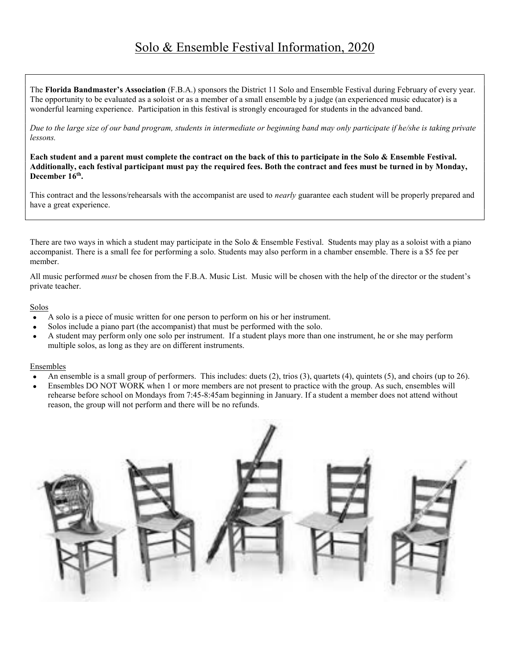## Solo & Ensemble Festival Information, 2020

The Florida Bandmaster's Association (F.B.A.) sponsors the District 11 Solo and Ensemble Festival during February of every year. The opportunity to be evaluated as a soloist or as a member of a small ensemble by a judge (an experienced music educator) is a wonderful learning experience. Participation in this festival is strongly encouraged for students in the advanced band.

Due to the large size of our band program, students in intermediate or beginning band may only participate if he/she is taking private lessons.

Each student and a parent must complete the contract on the back of this to participate in the Solo & Ensemble Festival. Additionally, each festival participant must pay the required fees. Both the contract and fees must be turned in by Monday, December 16<sup>th</sup>.

This contract and the lessons/rehearsals with the accompanist are used to *nearly* guarantee each student will be properly prepared and have a great experience.

There are two ways in which a student may participate in the Solo & Ensemble Festival. Students may play as a soloist with a piano accompanist. There is a small fee for performing a solo. Students may also perform in a chamber ensemble. There is a \$5 fee per member.

All music performed must be chosen from the F.B.A. Music List. Music will be chosen with the help of the director or the student's private teacher.

## Solos

- A solo is a piece of music written for one person to perform on his or her instrument.
- Solos include a piano part (the accompanist) that must be performed with the solo.
- A student may perform only one solo per instrument. If a student plays more than one instrument, he or she may perform multiple solos, as long as they are on different instruments.

## Ensembles

- An ensemble is a small group of performers. This includes: duets (2), trios (3), quartets (4), quintets (5), and choirs (up to 26).
- Ensembles DO NOT WORK when 1 or more members are not present to practice with the group. As such, ensembles will rehearse before school on Mondays from 7:45-8:45am beginning in January. If a student a member does not attend without reason, the group will not perform and there will be no refunds.